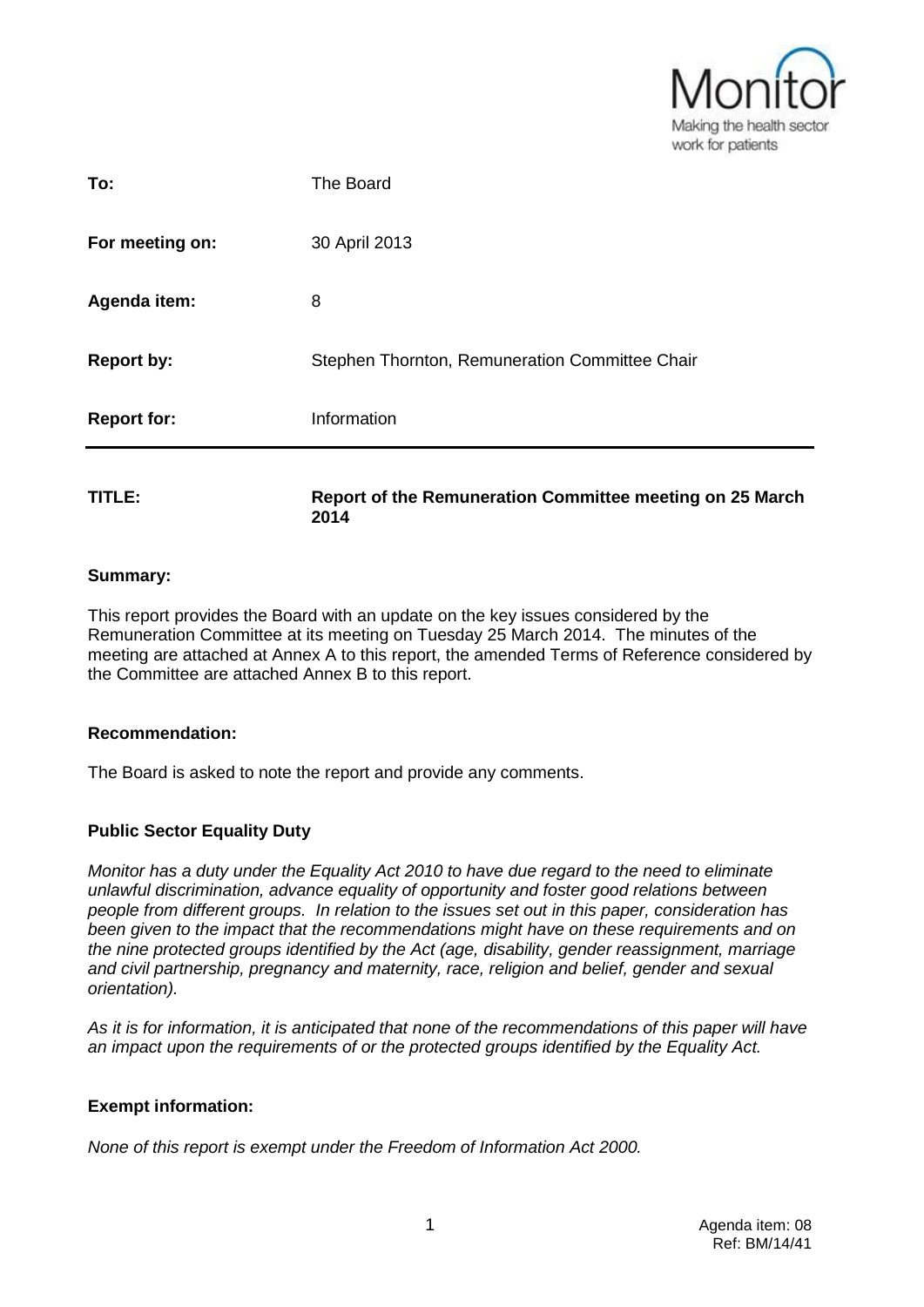

| To:                | The Board                                      |
|--------------------|------------------------------------------------|
| For meeting on:    | 30 April 2013                                  |
| Agenda item:       | 8                                              |
| <b>Report by:</b>  | Stephen Thornton, Remuneration Committee Chair |
| <b>Report for:</b> | Information                                    |
|                    |                                                |

#### **TITLE: Report of the Remuneration Committee meeting on 25 March 2014**

#### **Summary:**

This report provides the Board with an update on the key issues considered by the Remuneration Committee at its meeting on Tuesday 25 March 2014. The minutes of the meeting are attached at Annex A to this report, the amended Terms of Reference considered by the Committee are attached Annex B to this report.

#### **Recommendation:**

The Board is asked to note the report and provide any comments.

### **Public Sector Equality Duty**

*Monitor has a duty under the Equality Act 2010 to have due regard to the need to eliminate unlawful discrimination, advance equality of opportunity and foster good relations between people from different groups. In relation to the issues set out in this paper, consideration has been given to the impact that the recommendations might have on these requirements and on the nine protected groups identified by the Act (age, disability, gender reassignment, marriage and civil partnership, pregnancy and maternity, race, religion and belief, gender and sexual orientation).*

*As it is for information, it is anticipated that none of the recommendations of this paper will have an impact upon the requirements of or the protected groups identified by the Equality Act.*

### **Exempt information:**

*None of this report is exempt under the Freedom of Information Act 2000.*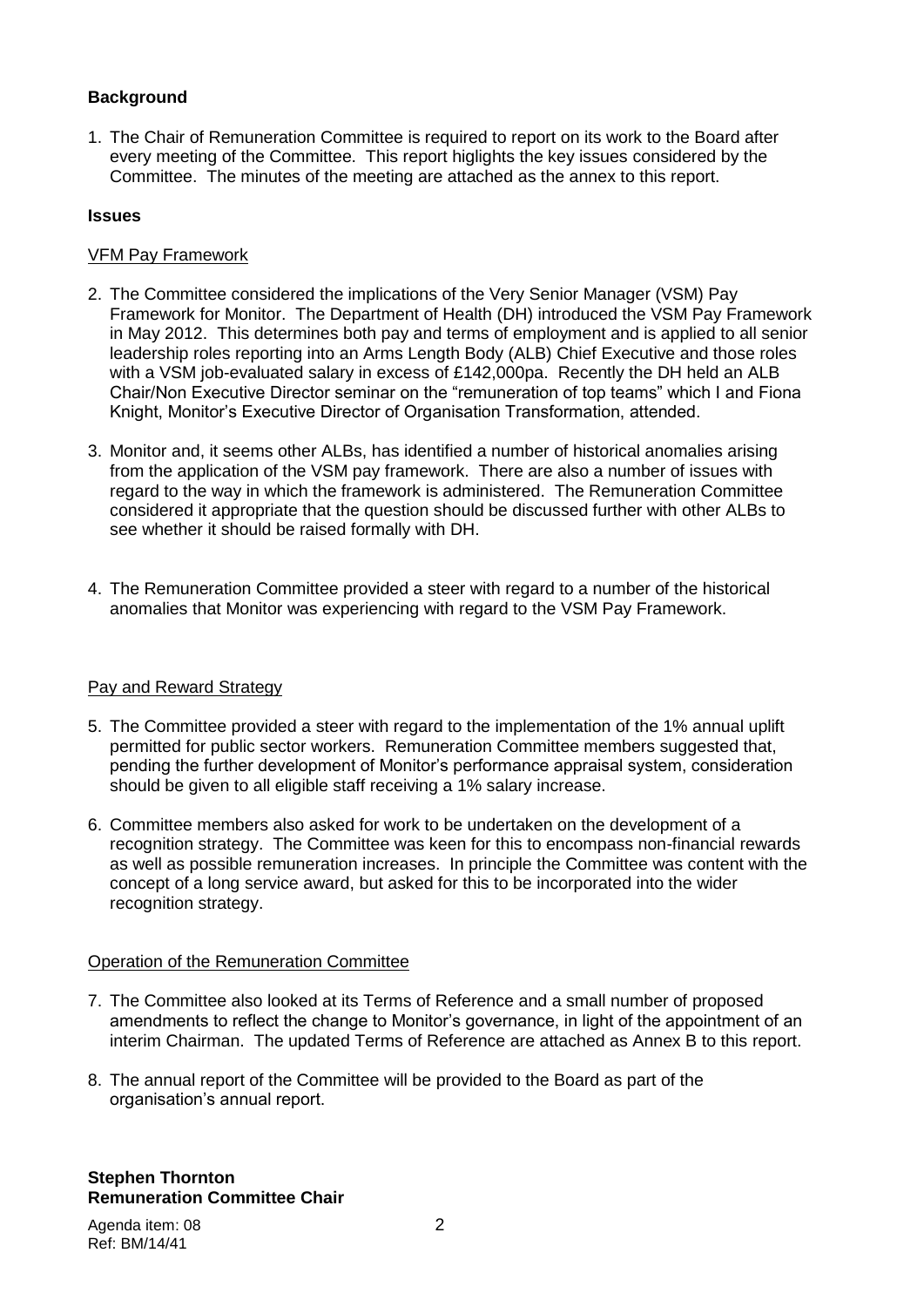# **Background**

1. The Chair of Remuneration Committee is required to report on its work to the Board after every meeting of the Committee. This report higlights the key issues considered by the Committee. The minutes of the meeting are attached as the annex to this report.

### **Issues**

### VFM Pay Framework

- 2. The Committee considered the implications of the Very Senior Manager (VSM) Pay Framework for Monitor. The Department of Health (DH) introduced the VSM Pay Framework in May 2012. This determines both pay and terms of employment and is applied to all senior leadership roles reporting into an Arms Length Body (ALB) Chief Executive and those roles with a VSM job-evaluated salary in excess of £142,000pa. Recently the DH held an ALB Chair/Non Executive Director seminar on the "remuneration of top teams" which I and Fiona Knight, Monitor's Executive Director of Organisation Transformation, attended.
- 3. Monitor and, it seems other ALBs, has identified a number of historical anomalies arising from the application of the VSM pay framework. There are also a number of issues with regard to the way in which the framework is administered. The Remuneration Committee considered it appropriate that the question should be discussed further with other ALBs to see whether it should be raised formally with DH.
- 4. The Remuneration Committee provided a steer with regard to a number of the historical anomalies that Monitor was experiencing with regard to the VSM Pay Framework.

### Pay and Reward Strategy

- 5. The Committee provided a steer with regard to the implementation of the 1% annual uplift permitted for public sector workers. Remuneration Committee members suggested that, pending the further development of Monitor's performance appraisal system, consideration should be given to all eligible staff receiving a 1% salary increase.
- 6. Committee members also asked for work to be undertaken on the development of a recognition strategy. The Committee was keen for this to encompass non-financial rewards as well as possible remuneration increases. In principle the Committee was content with the concept of a long service award, but asked for this to be incorporated into the wider recognition strategy.

### Operation of the Remuneration Committee

- 7. The Committee also looked at its Terms of Reference and a small number of proposed amendments to reflect the change to Monitor's governance, in light of the appointment of an interim Chairman. The updated Terms of Reference are attached as Annex B to this report.
- 8. The annual report of the Committee will be provided to the Board as part of the organisation's annual report.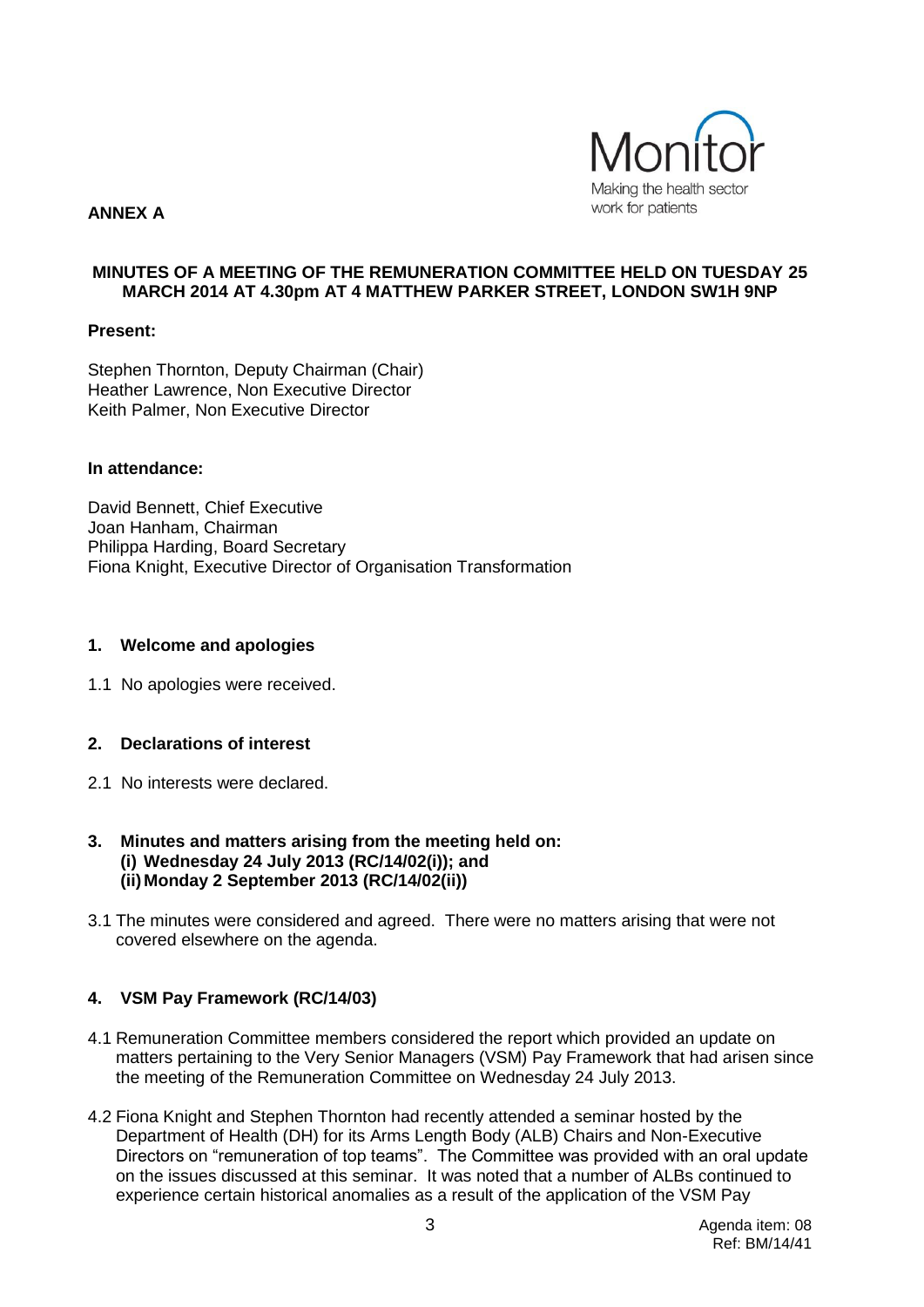

## **ANNEX A**

#### **MINUTES OF A MEETING OF THE REMUNERATION COMMITTEE HELD ON TUESDAY 25 MARCH 2014 AT 4.30pm AT 4 MATTHEW PARKER STREET, LONDON SW1H 9NP**

#### **Present:**

Stephen Thornton, Deputy Chairman (Chair) Heather Lawrence, Non Executive Director Keith Palmer, Non Executive Director

#### **In attendance:**

David Bennett, Chief Executive Joan Hanham, Chairman Philippa Harding, Board Secretary Fiona Knight, Executive Director of Organisation Transformation

#### **1. Welcome and apologies**

1.1 No apologies were received.

### **2. Declarations of interest**

- 2.1 No interests were declared.
- **3. Minutes and matters arising from the meeting held on: (i) Wednesday 24 July 2013 (RC/14/02(i)); and (ii)Monday 2 September 2013 (RC/14/02(ii))**
- 3.1 The minutes were considered and agreed. There were no matters arising that were not covered elsewhere on the agenda.

### **4. VSM Pay Framework (RC/14/03)**

- 4.1 Remuneration Committee members considered the report which provided an update on matters pertaining to the Very Senior Managers (VSM) Pay Framework that had arisen since the meeting of the Remuneration Committee on Wednesday 24 July 2013.
- 4.2 Fiona Knight and Stephen Thornton had recently attended a seminar hosted by the Department of Health (DH) for its Arms Length Body (ALB) Chairs and Non-Executive Directors on "remuneration of top teams". The Committee was provided with an oral update on the issues discussed at this seminar. It was noted that a number of ALBs continued to experience certain historical anomalies as a result of the application of the VSM Pay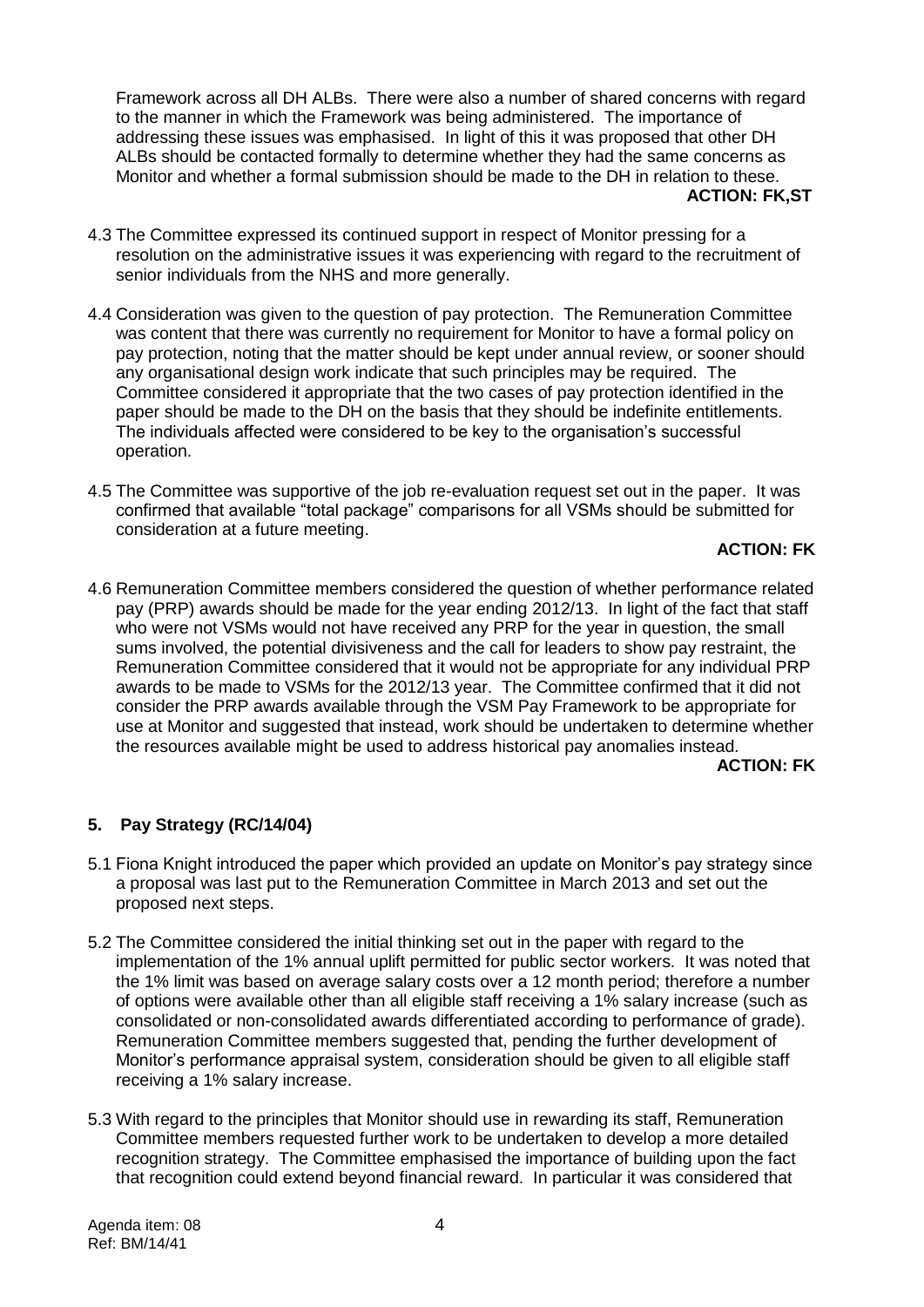Framework across all DH ALBs. There were also a number of shared concerns with regard to the manner in which the Framework was being administered. The importance of addressing these issues was emphasised. In light of this it was proposed that other DH ALBs should be contacted formally to determine whether they had the same concerns as Monitor and whether a formal submission should be made to the DH in relation to these. **ACTION: FK,ST**

- 4.3 The Committee expressed its continued support in respect of Monitor pressing for a resolution on the administrative issues it was experiencing with regard to the recruitment of senior individuals from the NHS and more generally.
- 4.4 Consideration was given to the question of pay protection. The Remuneration Committee was content that there was currently no requirement for Monitor to have a formal policy on pay protection, noting that the matter should be kept under annual review, or sooner should any organisational design work indicate that such principles may be required. The Committee considered it appropriate that the two cases of pay protection identified in the paper should be made to the DH on the basis that they should be indefinite entitlements. The individuals affected were considered to be key to the organisation's successful operation.
- 4.5 The Committee was supportive of the job re-evaluation request set out in the paper. It was confirmed that available "total package" comparisons for all VSMs should be submitted for consideration at a future meeting.

### **ACTION: FK**

4.6 Remuneration Committee members considered the question of whether performance related pay (PRP) awards should be made for the year ending 2012/13. In light of the fact that staff who were not VSMs would not have received any PRP for the year in question, the small sums involved, the potential divisiveness and the call for leaders to show pay restraint, the Remuneration Committee considered that it would not be appropriate for any individual PRP awards to be made to VSMs for the 2012/13 year. The Committee confirmed that it did not consider the PRP awards available through the VSM Pay Framework to be appropriate for use at Monitor and suggested that instead, work should be undertaken to determine whether the resources available might be used to address historical pay anomalies instead. **ACTION: FK**

# **5. Pay Strategy (RC/14/04)**

- 5.1 Fiona Knight introduced the paper which provided an update on Monitor's pay strategy since a proposal was last put to the Remuneration Committee in March 2013 and set out the proposed next steps.
- 5.2 The Committee considered the initial thinking set out in the paper with regard to the implementation of the 1% annual uplift permitted for public sector workers. It was noted that the 1% limit was based on average salary costs over a 12 month period; therefore a number of options were available other than all eligible staff receiving a 1% salary increase (such as consolidated or non-consolidated awards differentiated according to performance of grade). Remuneration Committee members suggested that, pending the further development of Monitor's performance appraisal system, consideration should be given to all eligible staff receiving a 1% salary increase.
- 5.3 With regard to the principles that Monitor should use in rewarding its staff, Remuneration Committee members requested further work to be undertaken to develop a more detailed recognition strategy. The Committee emphasised the importance of building upon the fact that recognition could extend beyond financial reward. In particular it was considered that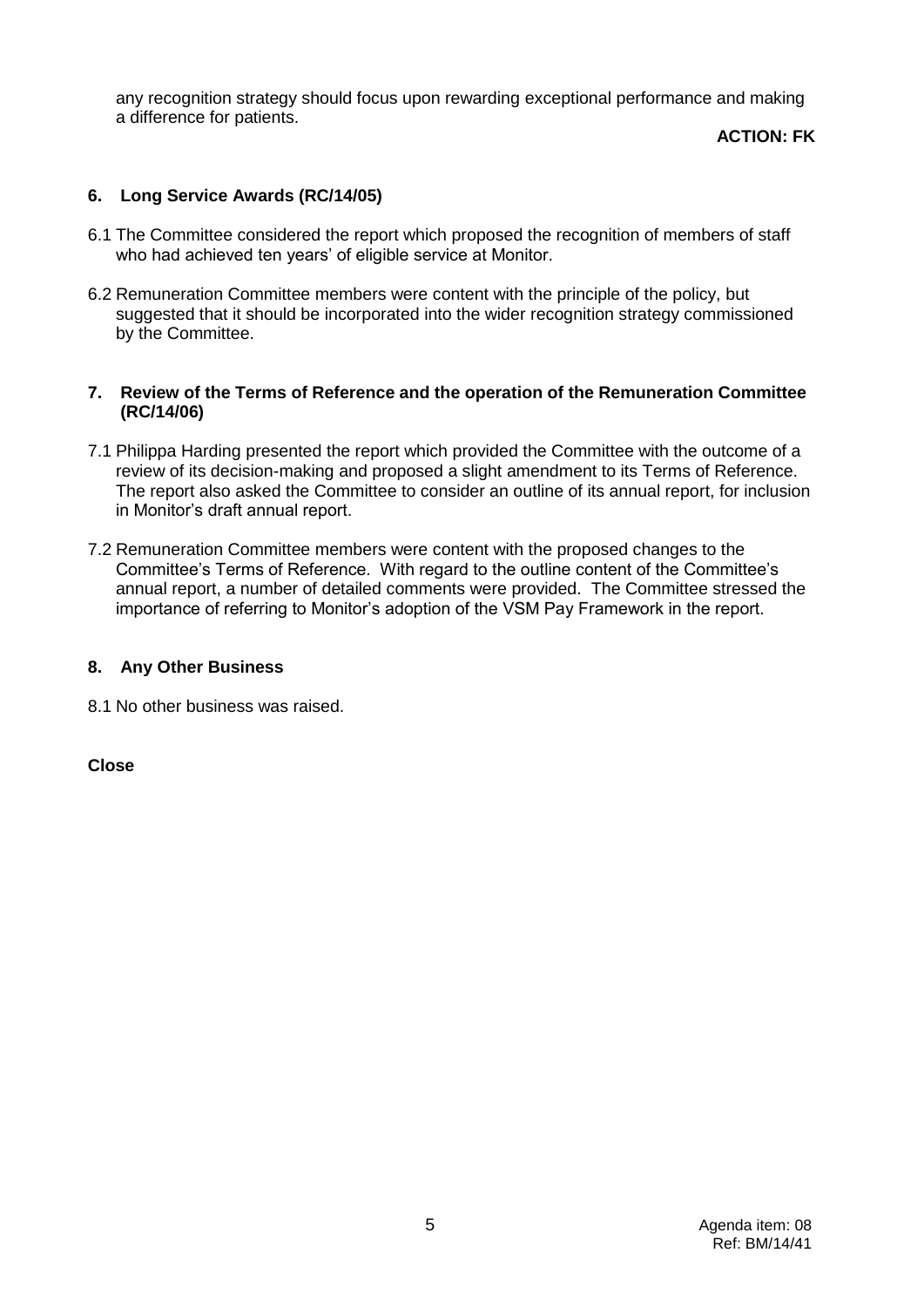any recognition strategy should focus upon rewarding exceptional performance and making a difference for patients.

### **ACTION: FK**

# **6. Long Service Awards (RC/14/05)**

- 6.1 The Committee considered the report which proposed the recognition of members of staff who had achieved ten years' of eligible service at Monitor.
- 6.2 Remuneration Committee members were content with the principle of the policy, but suggested that it should be incorporated into the wider recognition strategy commissioned by the Committee.

### **7. Review of the Terms of Reference and the operation of the Remuneration Committee (RC/14/06)**

- 7.1 Philippa Harding presented the report which provided the Committee with the outcome of a review of its decision-making and proposed a slight amendment to its Terms of Reference. The report also asked the Committee to consider an outline of its annual report, for inclusion in Monitor's draft annual report.
- 7.2 Remuneration Committee members were content with the proposed changes to the Committee's Terms of Reference. With regard to the outline content of the Committee's annual report, a number of detailed comments were provided. The Committee stressed the importance of referring to Monitor's adoption of the VSM Pay Framework in the report.

### **8. Any Other Business**

8.1 No other business was raised.

**Close**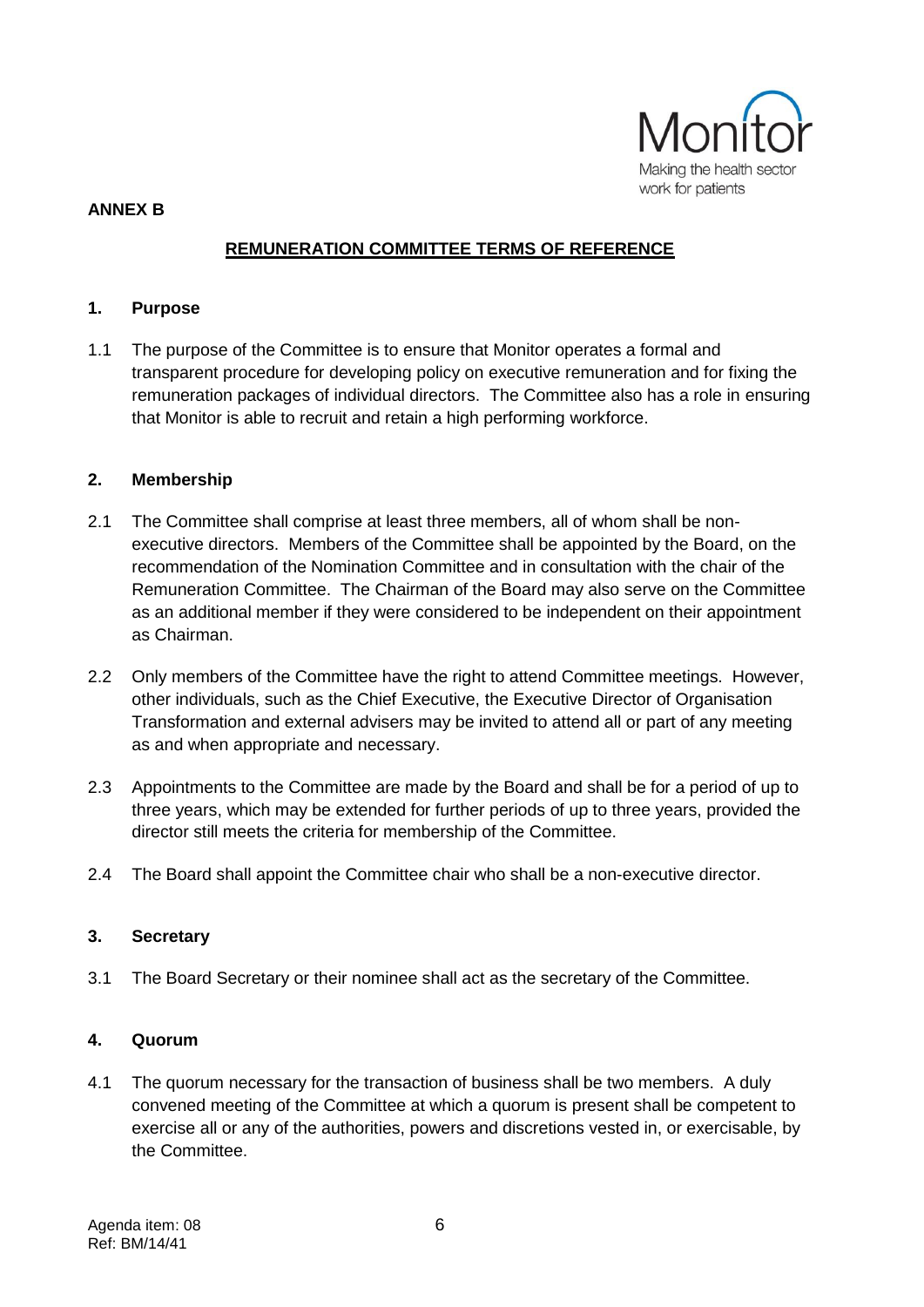

### **ANNEX B**

# **REMUNERATION COMMITTEE TERMS OF REFERENCE**

### **1. Purpose**

1.1 The purpose of the Committee is to ensure that Monitor operates a formal and transparent procedure for developing policy on executive remuneration and for fixing the remuneration packages of individual directors. The Committee also has a role in ensuring that Monitor is able to recruit and retain a high performing workforce.

## **2. Membership**

- 2.1 The Committee shall comprise at least three members, all of whom shall be nonexecutive directors. Members of the Committee shall be appointed by the Board, on the recommendation of the Nomination Committee and in consultation with the chair of the Remuneration Committee. The Chairman of the Board may also serve on the Committee as an additional member if they were considered to be independent on their appointment as Chairman.
- 2.2 Only members of the Committee have the right to attend Committee meetings. However, other individuals, such as the Chief Executive, the Executive Director of Organisation Transformation and external advisers may be invited to attend all or part of any meeting as and when appropriate and necessary.
- 2.3 Appointments to the Committee are made by the Board and shall be for a period of up to three years, which may be extended for further periods of up to three years, provided the director still meets the criteria for membership of the Committee.
- 2.4 The Board shall appoint the Committee chair who shall be a non-executive director.

# **3. Secretary**

3.1 The Board Secretary or their nominee shall act as the secretary of the Committee.

### **4. Quorum**

4.1 The quorum necessary for the transaction of business shall be two members. A duly convened meeting of the Committee at which a quorum is present shall be competent to exercise all or any of the authorities, powers and discretions vested in, or exercisable, by the Committee.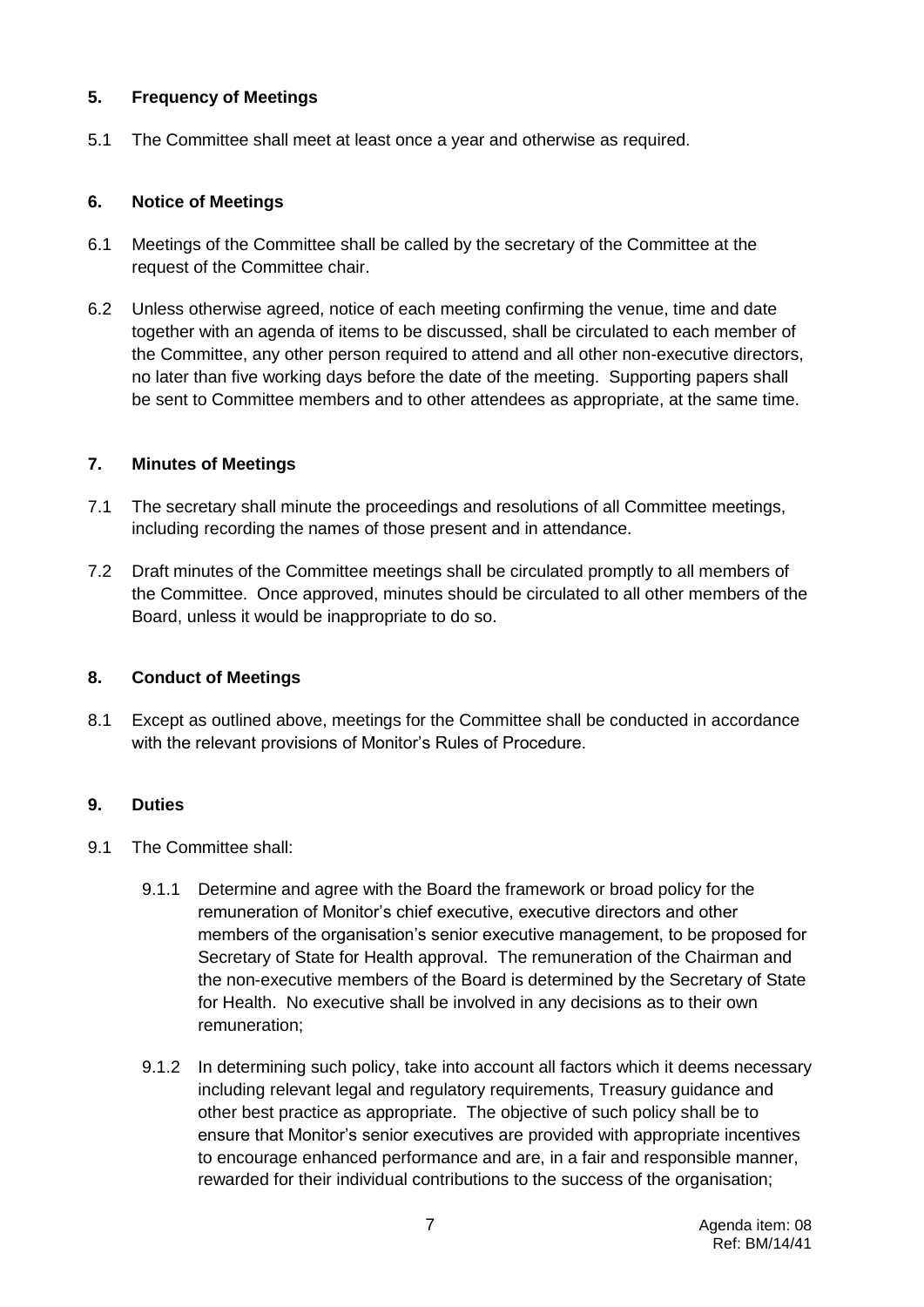# **5. Frequency of Meetings**

5.1 The Committee shall meet at least once a year and otherwise as required.

# **6. Notice of Meetings**

- 6.1 Meetings of the Committee shall be called by the secretary of the Committee at the request of the Committee chair.
- 6.2 Unless otherwise agreed, notice of each meeting confirming the venue, time and date together with an agenda of items to be discussed, shall be circulated to each member of the Committee, any other person required to attend and all other non-executive directors, no later than five working days before the date of the meeting. Supporting papers shall be sent to Committee members and to other attendees as appropriate, at the same time.

## **7. Minutes of Meetings**

- 7.1 The secretary shall minute the proceedings and resolutions of all Committee meetings, including recording the names of those present and in attendance.
- 7.2 Draft minutes of the Committee meetings shall be circulated promptly to all members of the Committee. Once approved, minutes should be circulated to all other members of the Board, unless it would be inappropriate to do so.

# **8. Conduct of Meetings**

8.1 Except as outlined above, meetings for the Committee shall be conducted in accordance with the relevant provisions of Monitor's Rules of Procedure.

# **9. Duties**

- 9.1 The Committee shall:
	- 9.1.1 Determine and agree with the Board the framework or broad policy for the remuneration of Monitor's chief executive, executive directors and other members of the organisation's senior executive management, to be proposed for Secretary of State for Health approval. The remuneration of the Chairman and the non-executive members of the Board is determined by the Secretary of State for Health. No executive shall be involved in any decisions as to their own remuneration;
	- 9.1.2 In determining such policy, take into account all factors which it deems necessary including relevant legal and regulatory requirements, Treasury guidance and other best practice as appropriate. The objective of such policy shall be to ensure that Monitor's senior executives are provided with appropriate incentives to encourage enhanced performance and are, in a fair and responsible manner, rewarded for their individual contributions to the success of the organisation;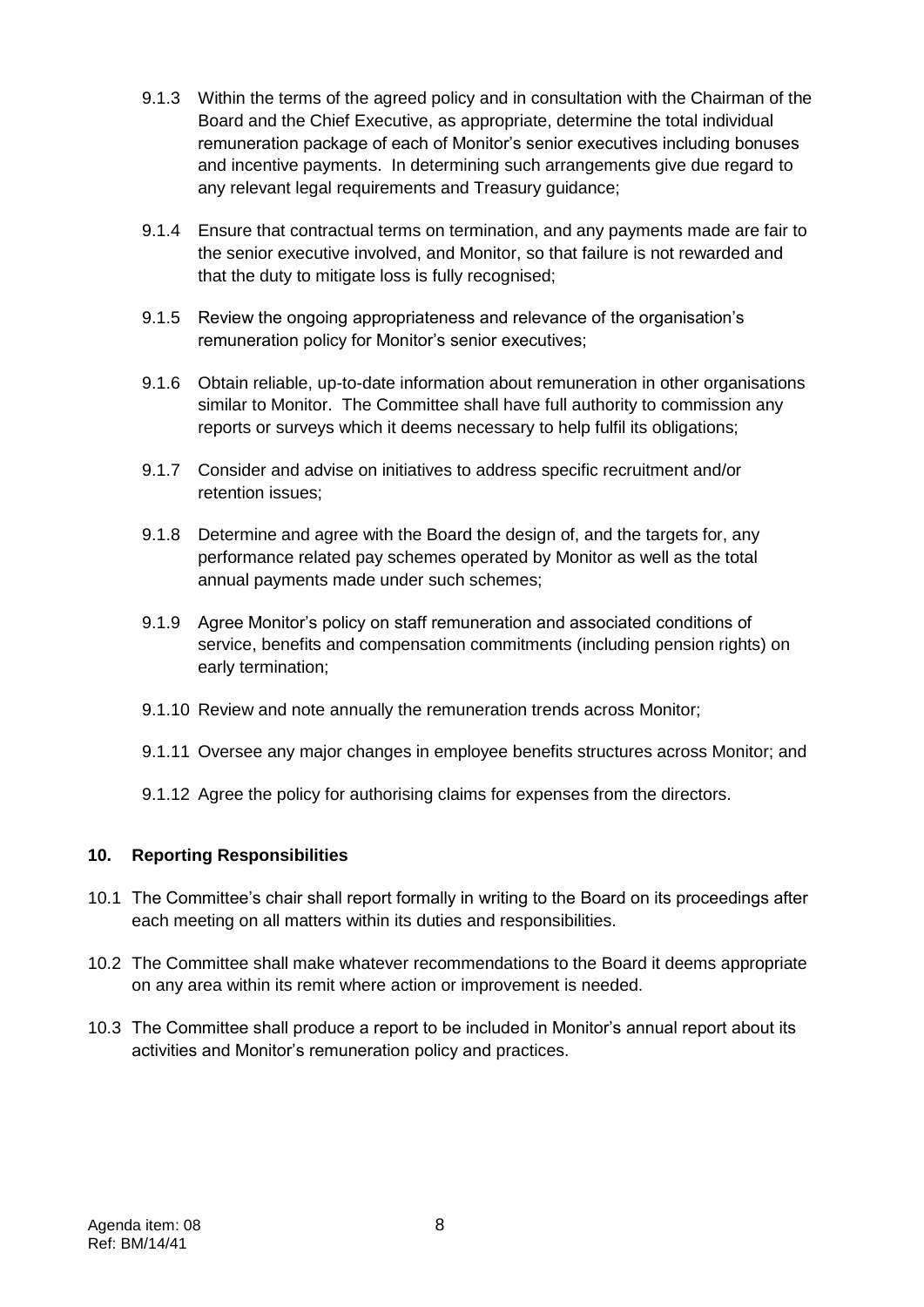- 9.1.3 Within the terms of the agreed policy and in consultation with the Chairman of the Board and the Chief Executive, as appropriate, determine the total individual remuneration package of each of Monitor's senior executives including bonuses and incentive payments. In determining such arrangements give due regard to any relevant legal requirements and Treasury guidance;
- 9.1.4 Ensure that contractual terms on termination, and any payments made are fair to the senior executive involved, and Monitor, so that failure is not rewarded and that the duty to mitigate loss is fully recognised;
- 9.1.5 Review the ongoing appropriateness and relevance of the organisation's remuneration policy for Monitor's senior executives;
- 9.1.6 Obtain reliable, up-to-date information about remuneration in other organisations similar to Monitor. The Committee shall have full authority to commission any reports or surveys which it deems necessary to help fulfil its obligations;
- 9.1.7 Consider and advise on initiatives to address specific recruitment and/or retention issues;
- 9.1.8 Determine and agree with the Board the design of, and the targets for, any performance related pay schemes operated by Monitor as well as the total annual payments made under such schemes;
- 9.1.9 Agree Monitor's policy on staff remuneration and associated conditions of service, benefits and compensation commitments (including pension rights) on early termination;
- 9.1.10 Review and note annually the remuneration trends across Monitor;
- 9.1.11 Oversee any major changes in employee benefits structures across Monitor; and
- 9.1.12 Agree the policy for authorising claims for expenses from the directors.

# **10. Reporting Responsibilities**

- 10.1 The Committee's chair shall report formally in writing to the Board on its proceedings after each meeting on all matters within its duties and responsibilities.
- 10.2 The Committee shall make whatever recommendations to the Board it deems appropriate on any area within its remit where action or improvement is needed.
- 10.3 The Committee shall produce a report to be included in Monitor's annual report about its activities and Monitor's remuneration policy and practices.